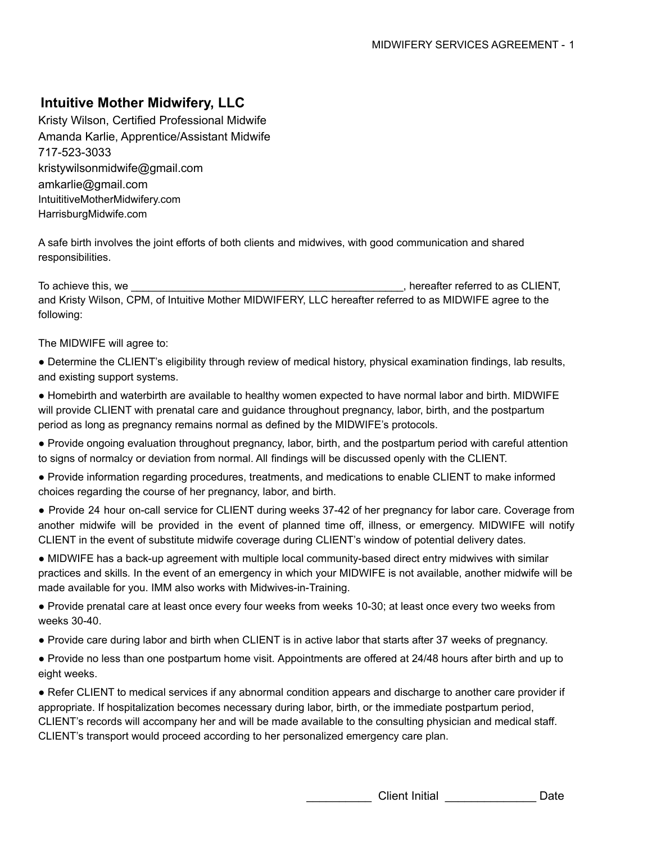Kristy Wilson, Certified Professional Midwife Amanda Karlie, Apprentice/Assistant Midwife 717-523-3033 kristywilsonmidwife@gmail.com amkarlie@gmail.com IntuititiveMotherMidwifery.com HarrisburgMidwife.com

A safe birth involves the joint efforts of both clients and midwives, with good communication and shared responsibilities.

To achieve this, we \_\_\_\_\_\_\_\_\_\_\_\_\_\_\_\_\_\_\_\_\_\_\_\_\_\_\_\_\_\_\_\_\_\_\_\_\_\_\_\_\_\_\_\_\_\_, hereafter referred to as CLIENT, and Kristy Wilson, CPM, of Intuitive Mother MIDWIFERY, LLC hereafter referred to as MIDWIFE agree to the following:

The MIDWIFE will agree to:

- Determine the CLIENT's eligibility through review of medical history, physical examination findings, lab results, and existing support systems.
- Homebirth and waterbirth are available to healthy women expected to have normal labor and birth. MIDWIFE will provide CLIENT with prenatal care and guidance throughout pregnancy, labor, birth, and the postpartum period as long as pregnancy remains normal as defined by the MIDWIFE's protocols.
- Provide ongoing evaluation throughout pregnancy, labor, birth, and the postpartum period with careful attention to signs of normalcy or deviation from normal. All findings will be discussed openly with the CLIENT.
- Provide information regarding procedures, treatments, and medications to enable CLIENT to make informed choices regarding the course of her pregnancy, labor, and birth.
- Provide 24 hour on-call service for CLIENT during weeks 37-42 of her pregnancy for labor care. Coverage from another midwife will be provided in the event of planned time off, illness, or emergency. MIDWIFE will notify CLIENT in the event of substitute midwife coverage during CLIENT's window of potential delivery dates.
- MIDWIFE has a back-up agreement with multiple local community-based direct entry midwives with similar practices and skills*.* In the event of an emergency in which your MIDWIFE is not available, another midwife will be made available for you. IMM also works with Midwives-in-Training.
- Provide prenatal care at least once every four weeks from weeks 10-30; at least once every two weeks from weeks 30-40.
- Provide care during labor and birth when CLIENT is in active labor that starts after 37 weeks of pregnancy.
- Provide no less than one postpartum home visit. Appointments are offered at 24/48 hours after birth and up to eight weeks.
- Refer CLIENT to medical services if any abnormal condition appears and discharge to another care provider if appropriate. If hospitalization becomes necessary during labor, birth, or the immediate postpartum period, CLIENT's records will accompany her and will be made available to the consulting physician and medical staff. CLIENT's transport would proceed according to her personalized emergency care plan.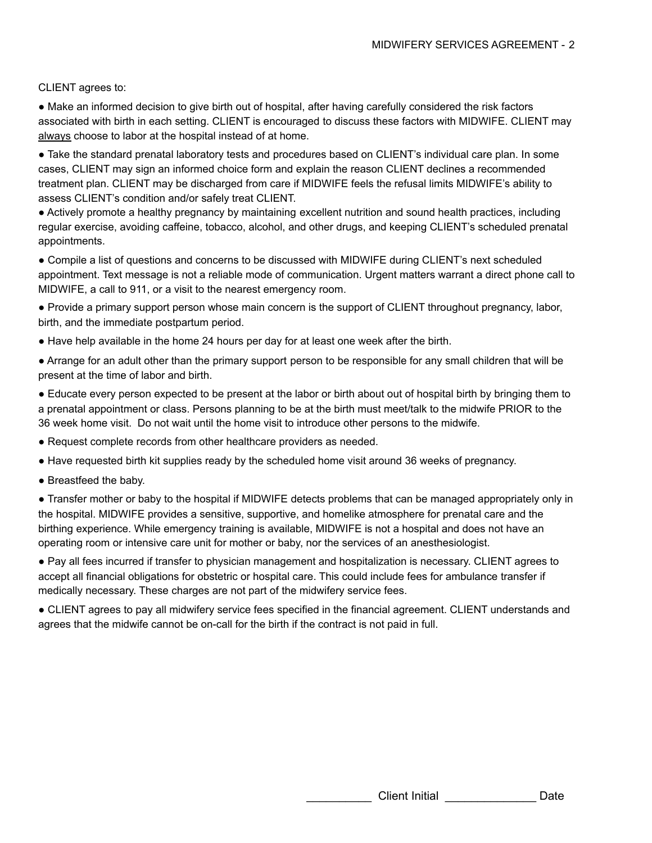#### CLIENT agrees to:

● Make an informed decision to give birth out of hospital, after having carefully considered the risk factors associated with birth in each setting. CLIENT is encouraged to discuss these factors with MIDWIFE. CLIENT may always choose to labor at the hospital instead of at home.

● Take the standard prenatal laboratory tests and procedures based on CLIENT's individual care plan. In some cases, CLIENT may sign an informed choice form and explain the reason CLIENT declines a recommended treatment plan. CLIENT may be discharged from care if MIDWIFE feels the refusal limits MIDWIFE's ability to assess CLIENT's condition and/or safely treat CLIENT.

● Actively promote a healthy pregnancy by maintaining excellent nutrition and sound health practices, including regular exercise, avoiding caffeine, tobacco, alcohol, and other drugs, and keeping CLIENT's scheduled prenatal appointments.

● Compile a list of questions and concerns to be discussed with MIDWIFE during CLIENT's next scheduled appointment. Text message is not a reliable mode of communication. Urgent matters warrant a direct phone call to MIDWIFE, a call to 911, or a visit to the nearest emergency room.

● Provide a primary support person whose main concern is the support of CLIENT throughout pregnancy, labor, birth, and the immediate postpartum period.

● Have help available in the home 24 hours per day for at least one week after the birth.

● Arrange for an adult other than the primary support person to be responsible for any small children that will be present at the time of labor and birth.

● Educate every person expected to be present at the labor or birth about out of hospital birth by bringing them to a prenatal appointment or class. Persons planning to be at the birth must meet/talk to the midwife PRIOR to the 36 week home visit. Do not wait until the home visit to introduce other persons to the midwife.

● Request complete records from other healthcare providers as needed.

● Have requested birth kit supplies ready by the scheduled home visit around 36 weeks of pregnancy.

● Breastfeed the baby.

● Transfer mother or baby to the hospital if MIDWIFE detects problems that can be managed appropriately only in the hospital. MIDWIFE provides a sensitive, supportive, and homelike atmosphere for prenatal care and the birthing experience. While emergency training is available, MIDWIFE is not a hospital and does not have an operating room or intensive care unit for mother or baby, nor the services of an anesthesiologist.

● Pay all fees incurred if transfer to physician management and hospitalization is necessary. CLIENT agrees to accept all financial obligations for obstetric or hospital care. This could include fees for ambulance transfer if medically necessary. These charges are not part of the midwifery service fees.

● CLIENT agrees to pay all midwifery service fees specified in the financial agreement. CLIENT understands and agrees that the midwife cannot be on-call for the birth if the contract is not paid in full.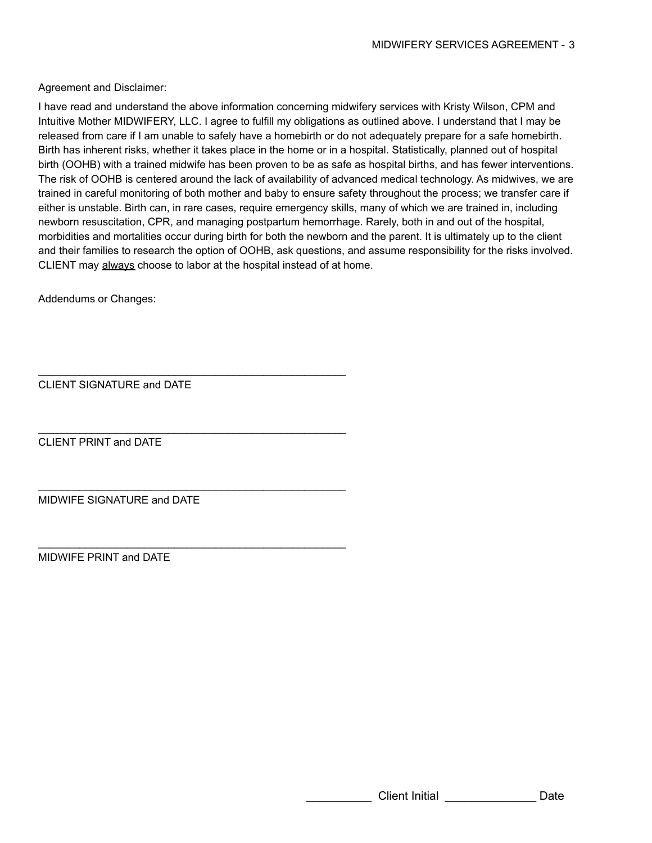Agreement and Disclaimer:

I have read and understand the above information concerning midwifery services with Kristy Wilson, CPM and Intuitive Mother MIDWIFERY, LLC. I agree to fulfill my obligations as outlined above. I understand that I may be released from care if I am unable to safely have a homebirth or do not adequately prepare for a safe homebirth. Birth has inherent risks, whether it takes place in the home or in a hospital. Statistically, planned out of hospital birth (OOHB) with a trained midwife has been proven to be as safe as hospital births, and has fewer interventions. The risk of OOHB is centered around the lack of availability of advanced medical technology. As midwives, we are trained in careful monitoring of both mother and baby to ensure safety throughout the process; we transfer care if either is unstable. Birth can, in rare cases, require emergency skills, many of which we are trained in, including newborn resuscitation, CPR, and managing postpartum hemorrhage. Rarely, both in and out of the hospital, morbidities and mortalities occur during birth for both the newborn and the parent. It is ultimately up to the client and their families to research the option of OOHB, ask questions, and assume responsibility for the risks involved. CLIENT may always choose to labor at the hospital instead of at home.

Addendums or Changes:

CLIENT SIGNATURE and DATE

 $\mathcal{L}_\text{max}$  , and the contract of the contract of the contract of the contract of the contract of the contract of the contract of the contract of the contract of the contract of the contract of the contract of the contr

 $\mathcal{L}_\text{max}$  , and the contract of the contract of the contract of the contract of the contract of the contract of the contract of the contract of the contract of the contract of the contract of the contract of the contr

 $\mathcal{L}_\text{max}$  , and the contract of the contract of the contract of the contract of the contract of the contract of the contract of the contract of the contract of the contract of the contract of the contract of the contr

 $\mathcal{L}_\text{max}$  , and the contract of the contract of the contract of the contract of the contract of the contract of the contract of the contract of the contract of the contract of the contract of the contract of the contr

CLIENT PRINT and DATE

MIDWIFE SIGNATURE and DATE

MIDWIFE PRINT and DATE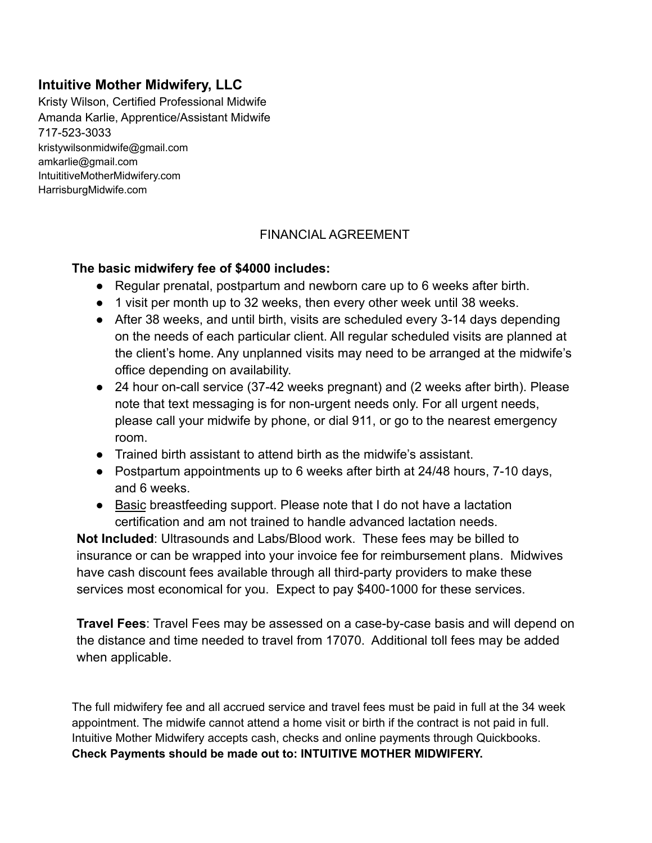Kristy Wilson, Certified Professional Midwife Amanda Karlie, Apprentice/Assistant Midwife 717-523-3033 kristywilsonmidwife@gmail.com amkarlie@gmail.com IntuititiveMotherMidwifery.com HarrisburgMidwife.com

### FINANCIAL AGREEMENT

### **The basic midwifery fee of \$4000 includes:**

- Regular prenatal, postpartum and newborn care up to 6 weeks after birth.
- 1 visit per month up to 32 weeks, then every other week until 38 weeks.
- After 38 weeks, and until birth, visits are scheduled every 3-14 days depending on the needs of each particular client. All regular scheduled visits are planned at the client's home. Any unplanned visits may need to be arranged at the midwife's office depending on availability.
- 24 hour on-call service (37-42 weeks pregnant) and (2 weeks after birth). Please note that text messaging is for non-urgent needs only. For all urgent needs, please call your midwife by phone, or dial 911, or go to the nearest emergency room.
- Trained birth assistant to attend birth as the midwife's assistant.
- Postpartum appointments up to 6 weeks after birth at 24/48 hours, 7-10 days, and 6 weeks.
- Basic breastfeeding support. Please note that I do not have a lactation certification and am not trained to handle advanced lactation needs.

**Not Included**: Ultrasounds and Labs/Blood work. These fees may be billed to insurance or can be wrapped into your invoice fee for reimbursement plans. Midwives have cash discount fees available through all third-party providers to make these services most economical for you. Expect to pay \$400-1000 for these services.

**Travel Fees**: Travel Fees may be assessed on a case-by-case basis and will depend on the distance and time needed to travel from 17070. Additional toll fees may be added when applicable.

The full midwifery fee and all accrued service and travel fees must be paid in full at the 34 week appointment. The midwife cannot attend a home visit or birth if the contract is not paid in full. Intuitive Mother Midwifery accepts cash, checks and online payments through Quickbooks. **Check Payments should be made out to: INTUITIVE MOTHER MIDWIFERY.**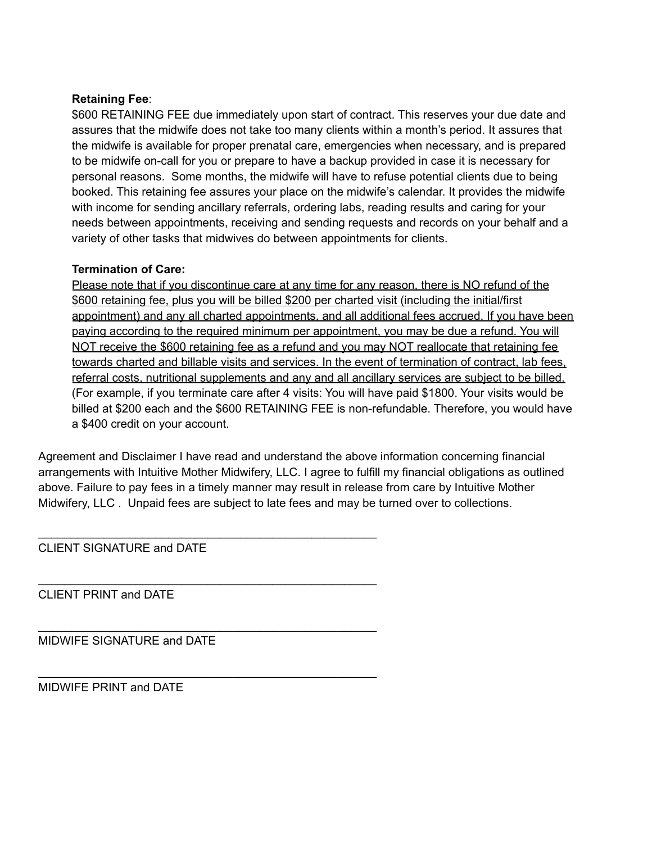#### **Retaining Fee**:

\$600 RETAINING FEE due immediately upon start of contract. This reserves your due date and assures that the midwife does not take too many clients within a month's period. It assures that the midwife is available for proper prenatal care, emergencies when necessary, and is prepared to be midwife on-call for you or prepare to have a backup provided in case it is necessary for personal reasons. Some months, the midwife will have to refuse potential clients due to being booked. This retaining fee assures your place on the midwife's calendar. It provides the midwife with income for sending ancillary referrals, ordering labs, reading results and caring for your needs between appointments, receiving and sending requests and records on your behalf and a variety of other tasks that midwives do between appointments for clients.

#### **Termination of Care:**

Please note that if you discontinue care at any time for any reason, there is NO refund of the \$600 retaining fee, plus you will be billed \$200 per charted visit (including the initial/first appointment) and any all charted appointments, and all additional fees accrued. If you have been paying according to the required minimum per appointment, you may be due a refund. You will NOT receive the \$600 retaining fee as a refund and you may NOT reallocate that retaining fee towards charted and billable visits and services. In the event of termination of contract, lab fees, referral costs, nutritional supplements and any and all ancillary services are subject to be billed. (For example, if you terminate care after 4 visits: You will have paid \$1800. Your visits would be billed at \$200 each and the \$600 RETAINING FEE is non-refundable. Therefore, you would have a \$400 credit on your account.

Agreement and Disclaimer I have read and understand the above information concerning financial arrangements with Intuitive Mother Midwifery, LLC. I agree to fulfill my financial obligations as outlined above. Failure to pay fees in a timely manner may result in release from care by Intuitive Mother Midwifery, LLC . Unpaid fees are subject to late fees and may be turned over to collections.

CLIENT SIGNATURE and DATE

\_\_\_\_\_\_\_\_\_\_\_\_\_\_\_\_\_\_\_\_\_\_\_\_\_\_\_\_\_\_\_\_\_\_\_\_\_\_\_\_\_\_\_\_\_\_\_\_\_\_\_\_

\_\_\_\_\_\_\_\_\_\_\_\_\_\_\_\_\_\_\_\_\_\_\_\_\_\_\_\_\_\_\_\_\_\_\_\_\_\_\_\_\_\_\_\_\_\_\_\_\_\_\_\_

\_\_\_\_\_\_\_\_\_\_\_\_\_\_\_\_\_\_\_\_\_\_\_\_\_\_\_\_\_\_\_\_\_\_\_\_\_\_\_\_\_\_\_\_\_\_\_\_\_\_\_\_

\_\_\_\_\_\_\_\_\_\_\_\_\_\_\_\_\_\_\_\_\_\_\_\_\_\_\_\_\_\_\_\_\_\_\_\_\_\_\_\_\_\_\_\_\_\_\_\_\_\_\_\_

CLIENT PRINT and DATE

MIDWIFE SIGNATURE and DATE

MIDWIFE PRINT and DATE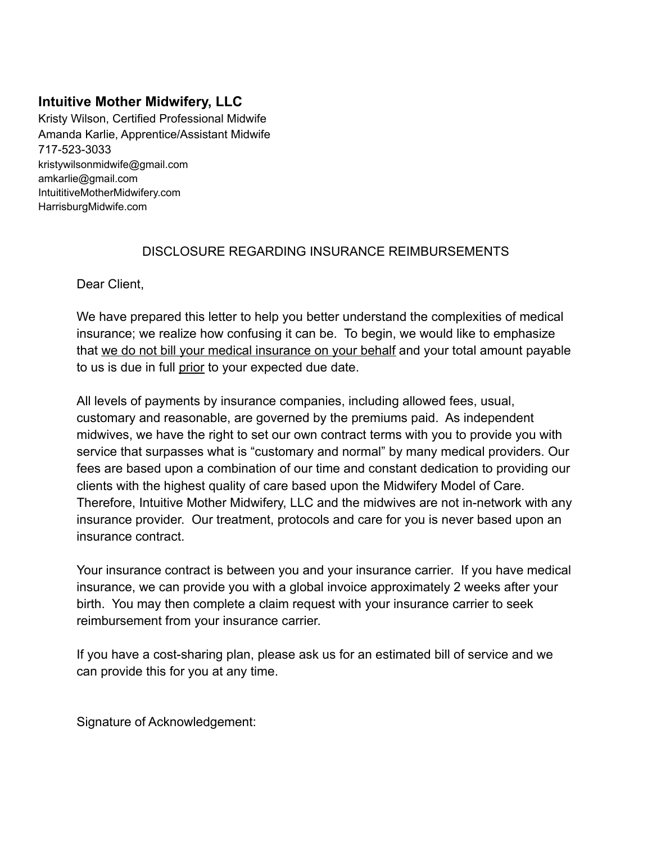Kristy Wilson, Certified Professional Midwife Amanda Karlie, Apprentice/Assistant Midwife 717-523-3033 kristywilsonmidwife@gmail.com amkarlie@gmail.com IntuititiveMotherMidwifery.com HarrisburgMidwife.com

### DISCLOSURE REGARDING INSURANCE REIMBURSEMENTS

Dear Client,

We have prepared this letter to help you better understand the complexities of medical insurance; we realize how confusing it can be. To begin, we would like to emphasize that we do not bill your medical insurance on your behalf and your total amount payable to us is due in full prior to your expected due date.

All levels of payments by insurance companies, including allowed fees, usual, customary and reasonable, are governed by the premiums paid. As independent midwives, we have the right to set our own contract terms with you to provide you with service that surpasses what is "customary and normal" by many medical providers. Our fees are based upon a combination of our time and constant dedication to providing our clients with the highest quality of care based upon the Midwifery Model of Care. Therefore, Intuitive Mother Midwifery, LLC and the midwives are not in-network with any insurance provider. Our treatment, protocols and care for you is never based upon an insurance contract.

Your insurance contract is between you and your insurance carrier. If you have medical insurance, we can provide you with a global invoice approximately 2 weeks after your birth. You may then complete a claim request with your insurance carrier to seek reimbursement from your insurance carrier.

If you have a cost-sharing plan, please ask us for an estimated bill of service and we can provide this for you at any time.

Signature of Acknowledgement: